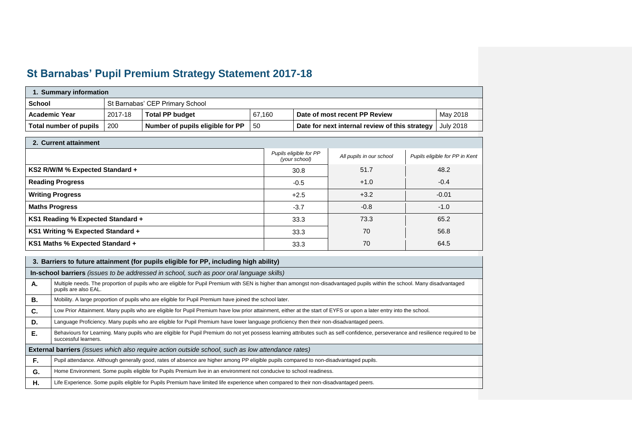## **St Barnabas' Pupil Premium Strategy Statement 2017-18**

| 1. Summary information |         |                                  |        |                                                |           |  |
|------------------------|---------|----------------------------------|--------|------------------------------------------------|-----------|--|
| <b>School</b>          |         | St Barnabas' CEP Primary School  |        |                                                |           |  |
| <b>Academic Year</b>   | 2017-18 | <b>Total PP budget</b>           | 67.160 | Date of most recent PP Review                  | May 2018  |  |
| Total number of pupils | 200     | Number of pupils eligible for PP | -50    | Date for next internal review of this strategy | July 2018 |  |

| 2. Current attainment             |                                         |                          |                                |
|-----------------------------------|-----------------------------------------|--------------------------|--------------------------------|
|                                   | Pupils eligible for PP<br>(your school) | All pupils in our school | Pupils eligible for PP in Kent |
| KS2 R/W/M % Expected Standard +   | 30.8                                    | 51.7                     | 48.2                           |
| <b>Reading Progress</b>           | $-0.5$                                  | $+1.0$                   | $-0.4$                         |
| <b>Writing Progress</b>           | $+2.5$                                  | $+3.2$                   | $-0.01$                        |
| <b>Maths Progress</b>             | $-3.7$                                  | $-0.8$                   | $-1.0$                         |
| KS1 Reading % Expected Standard + | 33.3                                    | 73.3                     | 65.2                           |
| KS1 Writing % Expected Standard + | 33.3                                    | 70                       | 56.8                           |
| KS1 Maths % Expected Standard +   | 33.3                                    | 70                       | 64.5                           |

|    | 3. Barriers to future attainment (for pupils eligible for PP, including high ability)                                                                                                                      |  |  |  |  |
|----|------------------------------------------------------------------------------------------------------------------------------------------------------------------------------------------------------------|--|--|--|--|
|    | In-school barriers (issues to be addressed in school, such as poor oral language skills)                                                                                                                   |  |  |  |  |
| А. | Multiple needs. The proportion of pupils who are eligible for Pupil Premium with SEN is higher than amongst non-disadvantaged pupils within the school. Many disadvantaged<br>pupils are also EAL.         |  |  |  |  |
| В. | Mobility. A large proportion of pupils who are eligible for Pupil Premium have joined the school later.                                                                                                    |  |  |  |  |
| C. | Low Prior Attainment. Many pupils who are eligible for Pupil Premium have low prior attainment, either at the start of EYFS or upon a later entry into the school.                                         |  |  |  |  |
| D. | Language Proficiency. Many pupils who are eligible for Pupil Premium have lower language proficiency then their non-disadvantaged peers.                                                                   |  |  |  |  |
| Е. | Behaviours for Learning. Many pupils who are eligible for Pupil Premium do not yet possess learning attributes such as self-confidence, perseverance and resilience required to be<br>successful learners. |  |  |  |  |
|    | External barriers (issues which also require action outside school, such as low attendance rates)                                                                                                          |  |  |  |  |
| F. | Pupil attendance. Although generally good, rates of absence are higher among PP eligible pupils compared to non-disadvantaged pupils.                                                                      |  |  |  |  |
| G. | Home Environment. Some pupils eligible for Pupils Premium live in an environment not conducive to school readiness.                                                                                        |  |  |  |  |
| н. | Life Experience. Some pupils eligible for Pupils Premium have limited life experience when compared to their non-disadvantaged peers.                                                                      |  |  |  |  |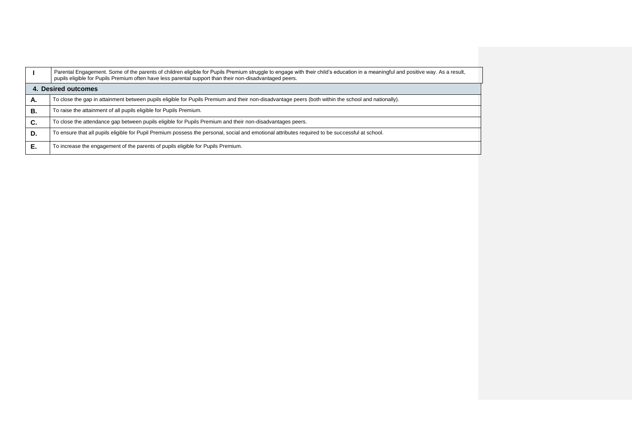|    | Parental Engagement. Some of the parents of children eligible for Pupils Premium struggle to engage with their child's education in a meaningful and positive way. As a result,<br>pupils eligible for Pupils Premium often have less parental support than their non-disadvantaged peers. |
|----|--------------------------------------------------------------------------------------------------------------------------------------------------------------------------------------------------------------------------------------------------------------------------------------------|
|    | 4. Desired outcomes                                                                                                                                                                                                                                                                        |
| Α. | To close the gap in attainment between pupils eligible for Pupils Premium and their non-disadvantage peers (both within the school and nationally).                                                                                                                                        |
| В. | To raise the attainment of all pupils eligible for Pupils Premium.                                                                                                                                                                                                                         |
| C. | To close the attendance gap between pupils eligible for Pupils Premium and their non-disadvantages peers.                                                                                                                                                                                  |
| D. | To ensure that all pupils eligible for Pupil Premium possess the personal, social and emotional attributes required to be successful at school.                                                                                                                                            |
| Е. | To increase the engagement of the parents of pupils eligible for Pupils Premium.                                                                                                                                                                                                           |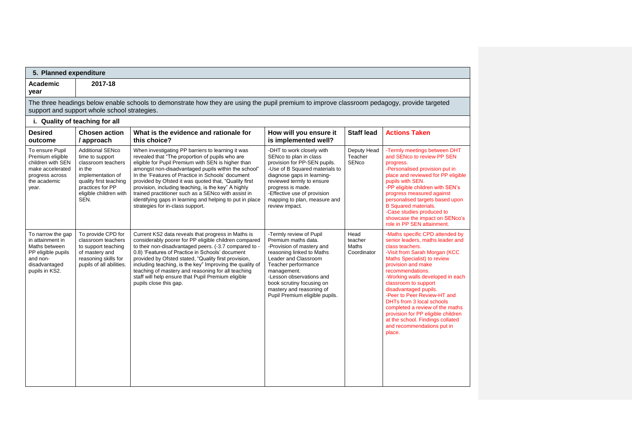| 5. Planned expenditure<br>Academic<br>year                                                                                  | 2017-18                                                                                                                                                                         |                                                                                                                                                                                                                                                                                                                                                                                                                                                                                                                                               |                                                                                                                                                                                                                                                                                               |                                         |                                                                                                                                                                                                                                                                                                                                                                                                                                                                                                               |
|-----------------------------------------------------------------------------------------------------------------------------|---------------------------------------------------------------------------------------------------------------------------------------------------------------------------------|-----------------------------------------------------------------------------------------------------------------------------------------------------------------------------------------------------------------------------------------------------------------------------------------------------------------------------------------------------------------------------------------------------------------------------------------------------------------------------------------------------------------------------------------------|-----------------------------------------------------------------------------------------------------------------------------------------------------------------------------------------------------------------------------------------------------------------------------------------------|-----------------------------------------|---------------------------------------------------------------------------------------------------------------------------------------------------------------------------------------------------------------------------------------------------------------------------------------------------------------------------------------------------------------------------------------------------------------------------------------------------------------------------------------------------------------|
|                                                                                                                             | support and support whole school strategies.                                                                                                                                    | The three headings below enable schools to demonstrate how they are using the pupil premium to improve classroom pedagogy, provide targeted                                                                                                                                                                                                                                                                                                                                                                                                   |                                                                                                                                                                                                                                                                                               |                                         |                                                                                                                                                                                                                                                                                                                                                                                                                                                                                                               |
|                                                                                                                             | i. Quality of teaching for all                                                                                                                                                  |                                                                                                                                                                                                                                                                                                                                                                                                                                                                                                                                               |                                                                                                                                                                                                                                                                                               |                                         |                                                                                                                                                                                                                                                                                                                                                                                                                                                                                                               |
| <b>Desired</b><br>outcome                                                                                                   | <b>Chosen action</b><br>/ approach                                                                                                                                              | What is the evidence and rationale for<br>this choice?                                                                                                                                                                                                                                                                                                                                                                                                                                                                                        | How will you ensure it<br>is implemented well?                                                                                                                                                                                                                                                | <b>Staff lead</b>                       | <b>Actions Taken</b>                                                                                                                                                                                                                                                                                                                                                                                                                                                                                          |
| To ensure Pupil<br>Premium eligible<br>children with SEN<br>make accelerated<br>progress across<br>the academic<br>vear.    | <b>Additional SENco</b><br>time to support<br>classroom teachers<br>in the<br>implementation of<br>quality first teaching<br>practices for PP<br>eligible children with<br>SEN. | When investigating PP barriers to learning it was<br>revealed that "The proportion of pupils who are<br>eligible for Pupil Premium with SEN is higher than<br>amongst non-disadvantaged pupils within the school"<br>In the 'Features of Practice in Schools' document<br>provided by Ofsted it was quoted that, "Quality first<br>provision, including teaching, is the key" A highly<br>trained practitioner such as a SENco with assist in<br>identifying gaps in learning and helping to put in place<br>strategies for in-class support. | -DHT to work closely with<br>SENco to plan in class<br>provision for PP-SEN pupils.<br>-Use of B Squared materials to<br>diagnose gaps in learning-<br>reviewed termly to ensure<br>progress is made.<br>-Effective use of provision<br>mapping to plan, measure and<br>review impact.        | Deputy Head<br>Teacher<br><b>SENco</b>  | -Termly meetings between DHT<br>and SENco to review PP SEN<br>progress.<br>-Personalised provision put in<br>place and reviewed for PP eligible<br>pupils with SEN.<br>-PP eligible children with SEN's<br>progress measured against<br>personalised targets based upon<br><b>B</b> Squared materials.<br>-Case studies produced to<br>showcase the impact on SENco's<br>role in PP SEN attainment.                                                                                                           |
| To narrow the gap<br>in attainment in<br>Maths between<br>PP eligible pupils<br>and non-<br>disadvantaged<br>pupils in KS2. | To provide CPD for<br>classroom teachers<br>to support teaching<br>of mastery and<br>reasoning skills for<br>pupils of all abilities.                                           | Current KS2 data reveals that progress in Maths is<br>considerably poorer for PP eligible children compared<br>to their non-disadvantaged peers. (-3.7 compared to -<br>0.8) 'Features of Practice in Schools' document<br>provided by Ofsted stated, "Quality first provision,<br>including teaching, is the key" Improving the quality of<br>teaching of mastery and reasoning for all teaching<br>staff will help ensure that Pupil Premium eligible<br>pupils close this gap.                                                             | -Termly review of Pupil<br>Premium maths data.<br>-Provision of mastery and<br>reasoning linked to Maths<br>Leader and Classroom<br>Teacher performance<br>management.<br>-Lesson observations and<br>book scrutiny focusing on<br>mastery and reasoning of<br>Pupil Premium eligible pupils. | Head<br>teacher<br>Maths<br>Coordinator | -Maths specific CPD attended by<br>senior leaders, maths leader and<br>class teachers.<br>-Visit from Sarah Morgan (KCC<br>Maths Specialist) to review<br>provision and make<br>recommendations.<br>-Working walls developed in each<br>classroom to support<br>disadvantaged pupils.<br>-Peer to Peer Review-HT and<br><b>DHTs from 3 local schools</b><br>completed a review of the maths<br>provision for PP eligible children<br>at the school. Findings collated<br>and recommendations put in<br>place. |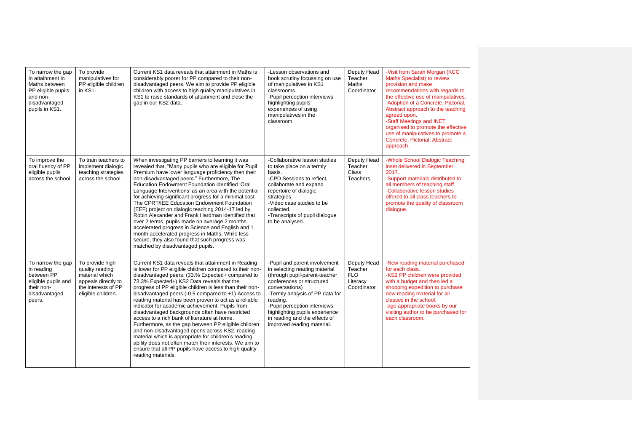| To narrow the gap<br>in attainment in<br>Maths between<br>PP eligible pupils<br>and non-<br>disadvantaged<br>pupils in KS1. | To provide<br>manipulatives for<br>PP eligible children<br>in KS1.                                                       | Current KS1 data reveals that attainment in Maths is<br>considerably poorer for PP compared to their non-<br>disadvantaged peers. We aim to provide PP eligible<br>children with access to high quality manipulatives in<br>KS1 to raise standards of attainment and close the<br>gap in our KS2 data.                                                                                                                                                                                                                                                                                                                                                                                                                                                                                                                                                              | -Lesson observations and<br>book scrutiny focussing on use<br>of manipulatives in KS1<br>classrooms.<br>-Pupil perception interviews<br>highlighting pupils'<br>experiences of using<br>manipulatives in the<br>classroom.                                                                                                     | Deputy Head<br>Teacher<br>Maths<br>Coordinator                  | -Visit from Sarah Morgan (KCC<br>Maths Specialist) to review<br>provision and make<br>recommendations with regards to<br>the effective use of manipulatives.<br>-Adoption of a Concrete, Pictorial,<br>Abstract approach to the teaching<br>agreed upon.<br>-Staff Meetings and INET<br>organised to promote the effective<br>use of manipulatives to promote a<br>Concrete, Pictorial, Abstract<br>approach. |
|-----------------------------------------------------------------------------------------------------------------------------|--------------------------------------------------------------------------------------------------------------------------|---------------------------------------------------------------------------------------------------------------------------------------------------------------------------------------------------------------------------------------------------------------------------------------------------------------------------------------------------------------------------------------------------------------------------------------------------------------------------------------------------------------------------------------------------------------------------------------------------------------------------------------------------------------------------------------------------------------------------------------------------------------------------------------------------------------------------------------------------------------------|--------------------------------------------------------------------------------------------------------------------------------------------------------------------------------------------------------------------------------------------------------------------------------------------------------------------------------|-----------------------------------------------------------------|---------------------------------------------------------------------------------------------------------------------------------------------------------------------------------------------------------------------------------------------------------------------------------------------------------------------------------------------------------------------------------------------------------------|
| To improve the<br>oral fluency of PP<br>eligible pupils<br>across the school.                                               | To train teachers to<br>implement dialogic<br>teaching strategies<br>across the school.                                  | When investigating PP barriers to learning it was<br>revealed that, "Many pupils who are eligible for Pupil<br>Premium have lower language proficiency then their<br>non-disadvantaged peers." Furthermore, The<br>Education Endowment Foundation identified 'Oral<br>Language Interventions' as an area with the potential<br>for achieving significant progress for a minimal cost.<br>The CPRT/IEE Education Endowment Foundation<br>(EEF) project on dialogic teaching 2014-17 led by<br>Robin Alexander and Frank Hardman identified that<br>over 2 terms, pupils made on average 2 months<br>accelerated progress in Science and English and 1<br>month accelerated progress in Maths. While less<br>secure, they also found that such progress was<br>matched by disadvantaged pupils.                                                                       | -Collaborative lesson studies<br>to take place on a termly<br>basis.<br>-CPD Sessions to reflect,<br>collaborate and expand<br>repertoire of dialogic<br>strategies.<br>-Video case studies to be<br>collected.<br>-Transcripts of pupil dialoque<br>to be analysed.                                                           | Deputy Head<br>Teacher<br>Class<br><b>Teachers</b>              | -Whole School Dialogic Teaching<br>inset delivered in September<br>2017.<br>-Support materials distributed to<br>all members of teaching staff.<br>-Collaborative lesson studies<br>offered to all class teachers to<br>promote the quality of classroom<br>dialogue.                                                                                                                                         |
| To narrow the gap<br>in reading<br>between PP<br>eligible pupils and<br>their non-<br>disadvantaged<br>peers.               | To provide high<br>quality reading<br>material which<br>appeals directly to<br>the interests of PP<br>eligible children. | Current KS1 data reveals that attainment in Reading<br>is lower for PP eligible children compared to their non-<br>disadvantaged peers. (33.% Expected+ compared to<br>73.3% Expected+) KS2 Data reveals that the<br>progress of PP eligible children is less than their non-<br>disadvantaged peers (-0.5 compared to $+1$ ) Access to<br>reading material has been proven to act as a reliable<br>indicator for academic achievement. Pupils from<br>disadvantaged backgrounds often have restricted<br>access to a rich bank of literature at home.<br>Furthermore, as the gap between PP eligible children<br>and non-disadvantaged opens across KS2, reading<br>material which is appropriate for children's reading<br>ability does not often match their interests. We aim to<br>ensure that all PP pupils have access to high quality<br>reading materials. | -Pupil and parent involvement<br>in selecting reading material<br>(through pupil-parent-teacher<br>conferences or structured<br>conversations)<br>-Termly analysis of PP data for<br>reading.<br>-Pupil perception interviews<br>highlighting pupils experience<br>in reading and the effects of<br>improved reading material. | Deputy Head<br>Teacher<br><b>FLO</b><br>Literacy<br>Coordinator | -New reading material purchased<br>for each class.<br>-KS2 PP children were provided<br>with a budget and then led a<br>shopping expedition to purchase<br>new reading material for all<br>classes in the school.<br>-age appropriate books by our<br>visiting author to be purchased for<br>each classroom.                                                                                                  |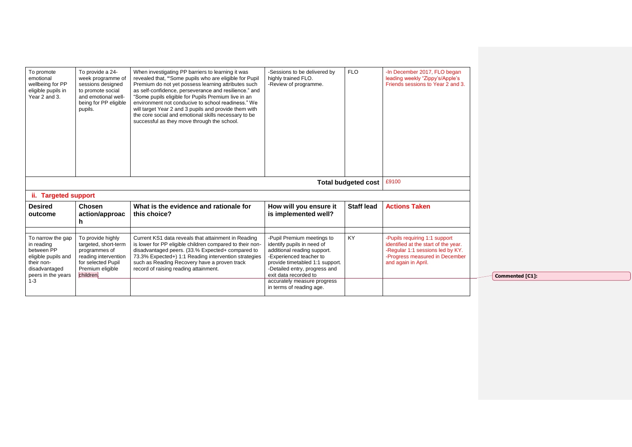| To promote<br>emotional<br>wellbeing for PP<br>eligible pupils in<br>Year 2 and 3.                                                   | To provide a 24-<br>week programme of<br>sessions designed<br>to promote social<br>and emotional well-<br>being for PP eligible<br>pupils. | When investigating PP barriers to learning it was<br>revealed that, "Some pupils who are eligible for Pupil<br>Premium do not yet possess learning attributes such<br>as self-confidence, perseverance and resilience." and<br>"Some pupils eligible for Pupils Premium live in an<br>environment not conducive to school readiness." We<br>will target Year 2 and 3 pupils and provide them with<br>the core social and emotional skills necessary to be<br>successful as they move through the school. | -Sessions to be delivered by<br>highly trained FLO.<br>-Review of programme.                                                                                                                                                                                               | <b>FLO</b>                 | -In December 2017, FLO began<br>leading weekly "Zippy's/Apple's<br>Friends sessions to Year 2 and 3.                                                               |
|--------------------------------------------------------------------------------------------------------------------------------------|--------------------------------------------------------------------------------------------------------------------------------------------|----------------------------------------------------------------------------------------------------------------------------------------------------------------------------------------------------------------------------------------------------------------------------------------------------------------------------------------------------------------------------------------------------------------------------------------------------------------------------------------------------------|----------------------------------------------------------------------------------------------------------------------------------------------------------------------------------------------------------------------------------------------------------------------------|----------------------------|--------------------------------------------------------------------------------------------------------------------------------------------------------------------|
| ii. Targeted support                                                                                                                 |                                                                                                                                            |                                                                                                                                                                                                                                                                                                                                                                                                                                                                                                          |                                                                                                                                                                                                                                                                            | <b>Total budgeted cost</b> | £9100                                                                                                                                                              |
| <b>Desired</b><br>outcome                                                                                                            | <b>Chosen</b><br>action/approac<br>h                                                                                                       | What is the evidence and rationale for<br>this choice?                                                                                                                                                                                                                                                                                                                                                                                                                                                   | How will you ensure it<br>is implemented well?                                                                                                                                                                                                                             | <b>Staff lead</b>          | <b>Actions Taken</b>                                                                                                                                               |
| To narrow the gap<br>in reading<br>between PP<br>eligible pupils and<br>their non-<br>disadvantaged<br>peers in the years<br>$1 - 3$ | To provide highly<br>targeted, short-term<br>programmes of<br>reading intervention<br>for selected Pupil<br>Premium eligible<br>children.  | Current KS1 data reveals that attainment in Reading<br>is lower for PP eligible children compared to their non-<br>disadvantaged peers. (33.% Expected+ compared to<br>73.3% Expected+) 1:1 Reading intervention strategies<br>such as Reading Recovery have a proven track<br>record of raising reading attainment.                                                                                                                                                                                     | -Pupil Premium meetings to<br>identify pupils in need of<br>additional reading support.<br>-Experienced teacher to<br>provide timetabled 1:1 support.<br>-Detailed entry, progress and<br>exit data recorded to<br>accurately measure progress<br>in terms of reading age. | <b>KY</b>                  | -Pupils requiring 1:1 support<br>identified at the start of the year.<br>-Regular 1:1 sessions led by KY.<br>-Progress measured in December<br>and again in April. |

**Commented [C1]:**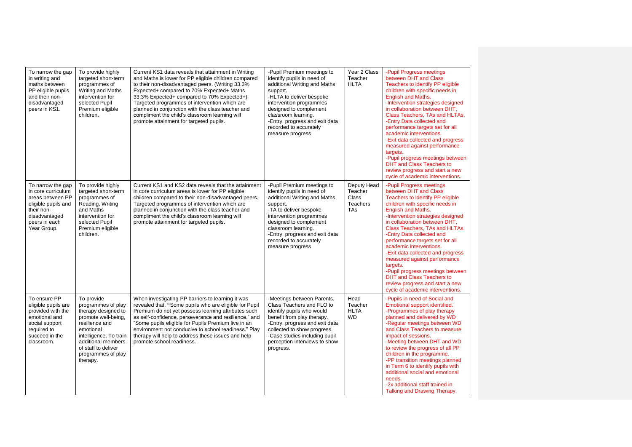| To narrow the gap<br>in writing and<br>maths between<br>PP eligible pupils<br>and their non-<br>disadvantaged<br>peers in KS1.                    | To provide highly<br>targeted short-term<br>programmes of<br>Writing and Maths<br>intervention for<br>selected Pupil<br>Premium eligible<br>children.                                                                  | Current KS1 data reveals that attainment in Writing<br>and Maths is lower for PP eligible children compared<br>to their non-disadvantaged peers. (Writing 33.3%<br>Expected+ compared to 70% Expected+ Maths<br>33.3% Expected+ compared to 70% Expected+)<br>Targeted programmes of intervention which are<br>planned in conjunction with the class teacher and<br>compliment the child's classroom learning will<br>promote attainment for targeted pupils. | -Pupil Premium meetings to<br>identify pupils in need of<br>additional Writing and Maths<br>support.<br>-HLTA to deliver bespoke<br>intervention programmes<br>designed to complement<br>classroom learning.<br>-Entry, progress and exit data<br>recorded to accurately<br>measure progress | Year 2 Class<br>Teacher<br><b>HLTA</b>                                | -Pupil Progress meetings<br>between DHT and Class<br>Teachers to identify PP eligible<br>children with specific needs in<br><b>English and Maths.</b><br>-Intervention strategies designed<br>in collaboration between DHT,<br>Class Teachers, TAs and HLTAs.<br>-Entry Data collected and<br>performance targets set for all<br>academic interventions.<br>-Exit data collected and progress<br>measured against performance<br>targets.<br>-Pupil progress meetings between<br>DHT and Class Teachers to<br>review progress and start a new<br>cycle of academic interventions. |
|---------------------------------------------------------------------------------------------------------------------------------------------------|------------------------------------------------------------------------------------------------------------------------------------------------------------------------------------------------------------------------|---------------------------------------------------------------------------------------------------------------------------------------------------------------------------------------------------------------------------------------------------------------------------------------------------------------------------------------------------------------------------------------------------------------------------------------------------------------|----------------------------------------------------------------------------------------------------------------------------------------------------------------------------------------------------------------------------------------------------------------------------------------------|-----------------------------------------------------------------------|-----------------------------------------------------------------------------------------------------------------------------------------------------------------------------------------------------------------------------------------------------------------------------------------------------------------------------------------------------------------------------------------------------------------------------------------------------------------------------------------------------------------------------------------------------------------------------------|
| To narrow the gap<br>in core curriculum<br>areas between PP<br>eligible pupils and<br>their non-<br>disadvantaged<br>peers in each<br>Year Group. | To provide highly<br>targeted short-term<br>programmes of<br>Reading, Writing<br>and Maths<br>intervention for<br>selected Pupil<br>Premium eligible<br>children.                                                      | Current KS1 and KS2 data reveals that the attainment<br>in core curriculum areas is lower for PP eligible<br>children compared to their non-disadvantaged peers.<br>Targeted programmes of intervention which are<br>planned in conjunction with the class teacher and<br>compliment the child's classroom learning will<br>promote attainment for targeted pupils.                                                                                           | -Pupil Premium meetings to<br>identify pupils in need of<br>additional Writing and Maths<br>support.<br>-TA to deliver bespoke<br>intervention programmes<br>designed to complement<br>classroom learning.<br>-Entry, progress and exit data<br>recorded to accurately<br>measure progress   | Deputy Head<br>Teacher<br>Class<br><b>Teachers</b><br>TA <sub>S</sub> | -Pupil Progress meetings<br>between DHT and Class<br>Teachers to identify PP eligible<br>children with specific needs in<br>English and Maths.<br>-Intervention strategies designed<br>in collaboration between DHT,<br>Class Teachers, TAs and HLTAs.<br>-Entry Data collected and<br>performance targets set for all<br>academic interventions.<br>-Exit data collected and progress<br>measured against performance<br>targets.<br>-Pupil progress meetings between<br><b>DHT and Class Teachers to</b><br>review progress and start a new<br>cycle of academic interventions. |
| To ensure PP<br>eligible pupils are<br>provided with the<br>emotional and<br>social support<br>required to<br>succeed in the<br>classroom.        | To provide<br>programmes of play<br>therapy designed to<br>promote well-being,<br>resilience and<br>emotional<br>intelligence. To train<br>additional members<br>of staff to deliver<br>programmes of play<br>therapy. | When investigating PP barriers to learning it was<br>revealed that, "Some pupils who are eligible for Pupil<br>Premium do not yet possess learning attributes such<br>as self-confidence, perseverance and resilience." and<br>"Some pupils eligible for Pupils Premium live in an<br>environment not conducive to school readiness." Play<br>therapy will help to address these issues and help<br>promote school readiness.                                 | -Meetings between Parents,<br>Class Teachers and FLO to<br>identify pupils who would<br>benefit from play therapy.<br>-Entry, progress and exit data<br>collected to show progress.<br>-Case studies including pupil<br>perception interviews to show<br>progress.                           | Head<br>Teacher<br><b>HLTA</b><br><b>WD</b>                           | -Pupils in need of Social and<br>Emotional support identified.<br>-Programmes of play therapy<br>planned and delivered by WD<br>-Regular meetings between WD<br>and Class Teachers to measure<br>impact of sessions.<br>-Meeting between DHT and WD<br>to review the progress of all PP<br>children in the programme.<br>-PP transition meetings planned<br>in Term 6 to identify pupils with<br>additional social and emotional<br>needs.<br>-2x additional staff trained in<br>Talking and Drawing Therapy.                                                                     |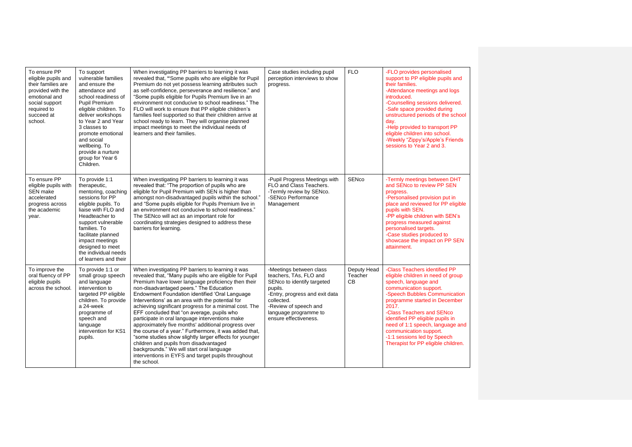| To ensure PP<br>eligible pupils and<br>their families are<br>provided with the<br>emotional and<br>social support<br>required to<br>succeed at<br>school. | To support<br>vulnerable families<br>and ensure the<br>attendance and<br>school readiness of<br>Pupil Premium<br>eligible children. To<br>deliver workshops<br>to Year 2 and Year<br>3 classes to<br>promote emotional<br>and social<br>wellbeing. To<br>provide a nurture<br>group for Year 6<br>Children. | When investigating PP barriers to learning it was<br>revealed that, "Some pupils who are eligible for Pupil<br>Premium do not yet possess learning attributes such<br>as self-confidence, perseverance and resilience." and<br>"Some pupils eligible for Pupils Premium live in an<br>environment not conducive to school readiness." The<br>FLO will work to ensure that PP eligible children's<br>families feel supported so that their children arrive at<br>school ready to learn. They will organise planned<br>impact meetings to meet the individual needs of<br>learners and their families.                                                                                                                                                                                                                 | Case studies including pupil<br>perception interviews to show<br>progress.                                                                                                                                            | <b>FLO</b>                   | -FLO provides personalised<br>support to PP eligible pupils and<br>their families.<br>-Attendance meetings and logs<br>introduced.<br>-Counselling sessions delivered.<br>-Safe space provided during<br>unstructured periods of the school<br>dav.<br>-Help provided to transport PP<br>eligible children into school.<br>-Weekly "Zippy's/Apple's Friends<br>sessions to Year 2 and 3.              |
|-----------------------------------------------------------------------------------------------------------------------------------------------------------|-------------------------------------------------------------------------------------------------------------------------------------------------------------------------------------------------------------------------------------------------------------------------------------------------------------|----------------------------------------------------------------------------------------------------------------------------------------------------------------------------------------------------------------------------------------------------------------------------------------------------------------------------------------------------------------------------------------------------------------------------------------------------------------------------------------------------------------------------------------------------------------------------------------------------------------------------------------------------------------------------------------------------------------------------------------------------------------------------------------------------------------------|-----------------------------------------------------------------------------------------------------------------------------------------------------------------------------------------------------------------------|------------------------------|-------------------------------------------------------------------------------------------------------------------------------------------------------------------------------------------------------------------------------------------------------------------------------------------------------------------------------------------------------------------------------------------------------|
| To ensure PP<br>eligible pupils with<br>SEN make<br>accelerated<br>progress across<br>the academic<br>year.                                               | To provide 1:1<br>therapeutic,<br>mentoring, coaching<br>sessions for PP<br>eligible pupils. To<br>liaise with FLO and<br>Headteacher to<br>support vulnerable<br>families. To<br>facilitate planned<br>impact meetings<br>designed to meet<br>the individual needs<br>of learners and their                | When investigating PP barriers to learning it was<br>revealed that: "The proportion of pupils who are<br>eligible for Pupil Premium with SEN is higher than<br>amongst non-disadvantaged pupils within the school."<br>and "Some pupils eligible for Pupils Premium live in<br>an environment not conducive to school readiness."<br>The SENco will act as an important role for<br>coordinating strategies designed to address these<br>barriers for learning.                                                                                                                                                                                                                                                                                                                                                      | -Pupil Progress Meetings with<br>FLO and Class Teachers.<br>-Termly review by SENco.<br>-SENco Performance<br>Management                                                                                              | <b>SENco</b>                 | -Termly meetings between DHT<br>and SENco to review PP SEN<br>progress.<br>-Personalised provision put in<br>place and reviewed for PP eligible<br>pupils with SEN.<br>-PP eligible children with SEN's<br>progress measured against<br>personalised targets.<br>-Case studies produced to<br>showcase the impact on PP SEN<br>attainment.                                                            |
| To improve the<br>oral fluency of PP<br>eligible pupils<br>across the school.                                                                             | To provide 1:1 or<br>small group speech<br>and language<br>intervention to<br>targeted PP eligible<br>children. To provide<br>a 24-week<br>programme of<br>speech and<br>language<br>intervention for KS1<br>pupils.                                                                                        | When investigating PP barriers to learning it was<br>revealed that, "Many pupils who are eligible for Pupil<br>Premium have lower language proficiency then their<br>non-disadvantaged peers." The Education<br>Endowment Foundation identified 'Oral Language<br>Interventions' as an area with the potential for<br>achieving significant progress for a minimal cost. The<br>EFF concluded that "on average, pupils who<br>participate in oral language interventions make<br>approximately five months' additional progress over<br>the course of a year." Furthermore, it was added that,<br>"some studies show slightly larger effects for younger<br>children and pupils from disadvantaged<br>backgrounds." We will start oral language<br>interventions in EYFS and target pupils throughout<br>the school. | -Meetings between class<br>teachers, TAs, FLO and<br>SENco to identify targeted<br>pupils.<br>-Entry, progress and exit data<br>collected.<br>-Review of speech and<br>language programme to<br>ensure effectiveness. | Deputy Head<br>Teacher<br>CВ | -Class Teachers identified PP<br>eligible children in need of group<br>speech, language and<br>communication support.<br>-Speech Bubbles Communication<br>programme started in December<br>2017.<br>-Class Teachers and SENco<br>identified PP eligible pupils in<br>need of 1:1 speech, language and<br>communication support.<br>-1:1 sessions led by Speech<br>Therapist for PP eligible children. |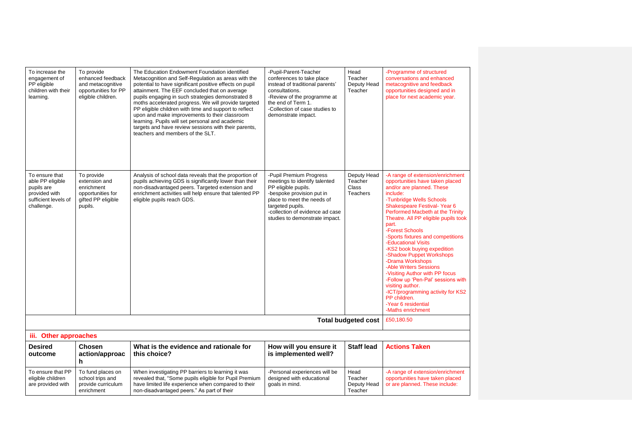| To increase the<br>engagement of<br>PP eligible<br>children with their<br>learning.                     | To provide<br>enhanced feedback<br>and metacognitive<br>opportunities for PP<br>eligible children. | The Education Endowment Foundation identified<br>Metacognition and Self-Regulation as areas with the<br>potential to have significant positive effects on pupil<br>attainment. The EEF concluded that on average<br>pupils engaging in such strategies demonstrated 8<br>moths accelerated progress. We will provide targeted<br>PP eligible children with time and support to reflect<br>upon and make improvements to their classroom<br>learning. Pupils will set personal and academic<br>targets and have review sessions with their parents,<br>teachers and members of the SLT. | -Pupil-Parent-Teacher<br>conferences to take place<br>instead of traditional parents'<br>consultations.<br>-Review of the programme at<br>the end of Term 1.<br>-Collection of case studies to<br>demonstrate impact.               | Head<br>Teacher<br>Deputy Head<br>Teacher          | -Programme of structured<br>conversations and enhanced<br>metacognitive and feedback<br>opportunities designed and in<br>place for next academic year.                                                                                                                                                                                                                                                                                                                                                                                                                                                                                            |
|---------------------------------------------------------------------------------------------------------|----------------------------------------------------------------------------------------------------|----------------------------------------------------------------------------------------------------------------------------------------------------------------------------------------------------------------------------------------------------------------------------------------------------------------------------------------------------------------------------------------------------------------------------------------------------------------------------------------------------------------------------------------------------------------------------------------|-------------------------------------------------------------------------------------------------------------------------------------------------------------------------------------------------------------------------------------|----------------------------------------------------|---------------------------------------------------------------------------------------------------------------------------------------------------------------------------------------------------------------------------------------------------------------------------------------------------------------------------------------------------------------------------------------------------------------------------------------------------------------------------------------------------------------------------------------------------------------------------------------------------------------------------------------------------|
| To ensure that<br>able PP eligible<br>pupils are<br>provided with<br>sufficient levels of<br>challenge. | To provide<br>extension and<br>enrichment<br>opportunities for<br>gifted PP eligible<br>pupils.    | Analysis of school data reveals that the proportion of<br>pupils achieving GDS is significantly lower than their<br>non-disadvantaged peers. Targeted extension and<br>enrichment activities will help ensure that talented PP<br>eligible pupils reach GDS.                                                                                                                                                                                                                                                                                                                           | -Pupil Premium Progress<br>meetings to identify talented<br>PP eligible pupils.<br>-bespoke provision put in<br>place to meet the needs of<br>targeted pupils.<br>-collection of evidence ad case<br>studies to demonstrate impact. | Deputy Head<br>Teacher<br>Class<br><b>Teachers</b> | -A range of extension/enrichment<br>opportunities have taken placed<br>and/or are planned. These<br>include:<br>-Tunbridge Wells Schools<br>Shakespeare Festival-Year 6<br>Performed Macbeth at the Trinity<br>Theatre. All PP eligible pupils took<br>part.<br>-Forest Schools<br>-Sports fixtures and competitions<br>-Educational Visits<br>-KS2 book buying expedition<br>-Shadow Puppet Workshops<br>-Drama Workshops<br>-Able Writers Sessions<br>-Visiting Author with PP focus<br>-Follow up 'Pen-Pal' sessions with<br>visiting author.<br>-ICT/programming activity for KS2<br>PP children.<br>-Year 6 residential<br>-Maths enrichment |
|                                                                                                         | £50,180.50                                                                                         |                                                                                                                                                                                                                                                                                                                                                                                                                                                                                                                                                                                        |                                                                                                                                                                                                                                     |                                                    |                                                                                                                                                                                                                                                                                                                                                                                                                                                                                                                                                                                                                                                   |
| iii. Other approaches                                                                                   |                                                                                                    |                                                                                                                                                                                                                                                                                                                                                                                                                                                                                                                                                                                        |                                                                                                                                                                                                                                     |                                                    |                                                                                                                                                                                                                                                                                                                                                                                                                                                                                                                                                                                                                                                   |
| <b>Desired</b><br>outcome                                                                               | Chosen<br>action/approac<br>h                                                                      | What is the evidence and rationale for<br>this choice?                                                                                                                                                                                                                                                                                                                                                                                                                                                                                                                                 | How will you ensure it<br>is implemented well?                                                                                                                                                                                      | <b>Staff lead</b>                                  | <b>Actions Taken</b>                                                                                                                                                                                                                                                                                                                                                                                                                                                                                                                                                                                                                              |
| To ensure that PP<br>eligible children<br>are provided with                                             | To fund places on<br>school trips and<br>provide curriculum<br>enrichment                          | When investigating PP barriers to learning it was<br>revealed that, "Some pupils eligible for Pupil Premium<br>have limited life experience when compared to their<br>non-disadvantaged peers." As part of their                                                                                                                                                                                                                                                                                                                                                                       | -Personal experiences will be<br>designed with educational<br>goals in mind.                                                                                                                                                        | Head<br>Teacher<br>Deputy Head<br>Teacher          | -A range of extension/enrichment<br>opportunities have taken placed<br>or are planned. These include:                                                                                                                                                                                                                                                                                                                                                                                                                                                                                                                                             |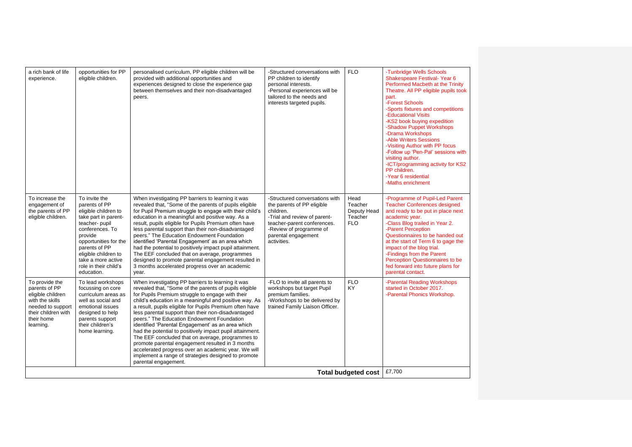| a rich bank of life<br>experience.                                                                                                             | opportunities for PP<br>eligible children.                                                                                                                                                                                                                   | personalised curriculum, PP eligible children will be<br>provided with additional opportunities and<br>experiences designed to close the experience gap<br>between themselves and their non-disadvantaged<br>peers.                                                                                                                                                                                                                                                                                                                                                                                                                                                                                                                                     | -Structured conversations with<br>PP children to identify<br>personal interests.<br>-Personal experiences will be<br>tailored to the needs and<br>interests targeted pupils.                              | <b>FLO</b>                                              | -Tunbridge Wells Schools<br>Shakespeare Festival-Year 6<br>Performed Macbeth at the Trinity<br>Theatre. All PP eligible pupils took<br>part.<br>-Forest Schools<br>-Sports fixtures and competitions<br>-Educational Visits<br>-KS2 book buying expedition<br>-Shadow Puppet Workshops<br>-Drama Workshops<br>-Able Writers Sessions<br>-Visiting Author with PP focus<br>-Follow up 'Pen-Pal' sessions with<br>visiting author.<br>-ICT/programming activity for KS2<br>PP children.<br>-Year 6 residential<br>-Maths enrichment |
|------------------------------------------------------------------------------------------------------------------------------------------------|--------------------------------------------------------------------------------------------------------------------------------------------------------------------------------------------------------------------------------------------------------------|---------------------------------------------------------------------------------------------------------------------------------------------------------------------------------------------------------------------------------------------------------------------------------------------------------------------------------------------------------------------------------------------------------------------------------------------------------------------------------------------------------------------------------------------------------------------------------------------------------------------------------------------------------------------------------------------------------------------------------------------------------|-----------------------------------------------------------------------------------------------------------------------------------------------------------------------------------------------------------|---------------------------------------------------------|-----------------------------------------------------------------------------------------------------------------------------------------------------------------------------------------------------------------------------------------------------------------------------------------------------------------------------------------------------------------------------------------------------------------------------------------------------------------------------------------------------------------------------------|
| To increase the<br>engagement of<br>the parents of PP<br>eligible children.                                                                    | To invite the<br>parents of PP<br>eligible children to<br>take part in parent-<br>teacher-pupil<br>conferences. To<br>provide<br>opportunities for the<br>parents of PP<br>eligible children to<br>take a more active<br>role in their child's<br>education. | When investigating PP barriers to learning it was<br>revealed that, "Some of the parents of pupils eligible<br>for Pupil Premium struggle to engage with their child's<br>education in a meaningful and positive way. As a<br>result, pupils eligible for Pupils Premium often have<br>less parental support than their non-disadvantaged<br>peers." The Education Endowment Foundation<br>identified 'Parental Engagement' as an area which<br>had the potential to positively impact pupil attainment.<br>The EEF concluded that on average, programmes<br>designed to promote parental engagement resulted in<br>3 months accelerated progress over an academic<br>year.                                                                             | -Structured conversations with<br>the parents of PP eligible<br>children.<br>-Trial and review of parent-<br>teacher-parent conferences.<br>-Review of programme of<br>parental engagement<br>activities. | Head<br>Teacher<br>Deputy Head<br>Teacher<br><b>FLO</b> | -Programme of Pupil-Led Parent<br><b>Teacher Conferences designed</b><br>and ready to be put in place next<br>academic year.<br>-Class Blog trailed in Year 2.<br>-Parent Perception<br>Questionnaires to be handed out<br>at the start of Term 6 to gage the<br>impact of the blog trial.<br>-Findings from the Parent<br>Perception Questionnaires to be<br>fed forward into future plans for<br>parental contact.                                                                                                              |
| To provide the<br>parents of PP<br>eligible children<br>with the skills<br>needed to support<br>their children with<br>their home<br>learning. | To lead workshops<br>focussing on core<br>curriculum areas as<br>well as social and<br>emotional issues<br>designed to help<br>parents support<br>their children's<br>home learning.                                                                         | When investigating PP barriers to learning it was<br>revealed that, "Some of the parents of pupils eligible<br>for Pupils Premium struggle to engage with their<br>child's education in a meaningful and positive way. As<br>a result, pupils eligible for Pupils Premium often have<br>less parental support than their non-disadvantaged<br>peers." The Education Endowment Foundation<br>identified 'Parental Engagement' as an area which<br>had the potential to positively impact pupil attainment.<br>The EEF concluded that on average, programmes to<br>promote parental engagement resulted in 3 months<br>accelerated progress over an academic year. We will<br>implement a range of strategies designed to promote<br>parental engagement. | -FLO to invite all parents to<br>workshops but target Pupil<br>premium families.<br>-Workshops to be delivered by<br>trained Family Liaison Officer.                                                      | <b>FLO</b><br>KY.                                       | -Parental Reading Workshops<br>started in October 2017.<br>-Parental Phonics Workshop.                                                                                                                                                                                                                                                                                                                                                                                                                                            |
|                                                                                                                                                |                                                                                                                                                                                                                                                              |                                                                                                                                                                                                                                                                                                                                                                                                                                                                                                                                                                                                                                                                                                                                                         |                                                                                                                                                                                                           | <b>Total budgeted cost</b>                              | £7,700                                                                                                                                                                                                                                                                                                                                                                                                                                                                                                                            |